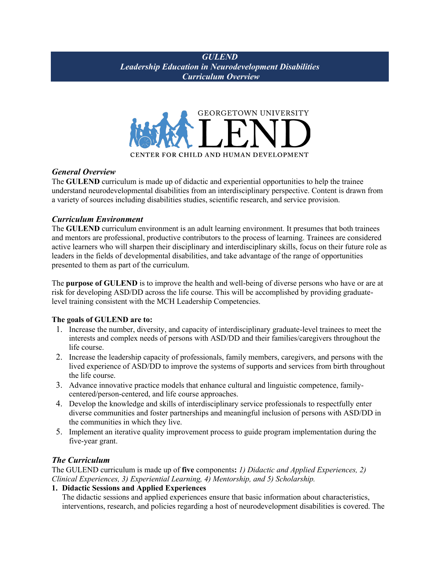## *GULEND Leadership Education in Neurodevelopment Disabilities Curriculum Overview*



## *General Overview*

The **GULEND** curriculum is made up of didactic and experiential opportunities to help the trainee understand neurodevelopmental disabilities from an interdisciplinary perspective. Content is drawn from a variety of sources including disabilities studies, scientific research, and service provision.

## *Curriculum Environment*

The **GULEND** curriculum environment is an adult learning environment. It presumes that both trainees and mentors are professional, productive contributors to the process of learning. Trainees are considered active learners who will sharpen their disciplinary and interdisciplinary skills, focus on their future role as leaders in the fields of developmental disabilities, and take advantage of the range of opportunities presented to them as part of the curriculum.

The **purpose of GULEND** is to improve the health and well-being of diverse persons who have or are at risk for developing ASD/DD across the life course. This will be accomplished by providing graduatelevel training consistent with the MCH Leadership Competencies.

## **The goals of GULEND are to:**

- 1. Increase the number, diversity, and capacity of interdisciplinary graduate-level trainees to meet the interests and complex needs of persons with ASD/DD and their families/caregivers throughout the life course.
- 2. Increase the leadership capacity of professionals, family members, caregivers, and persons with the lived experience of ASD/DD to improve the systems of supports and services from birth throughout the life course.
- 3. Advance innovative practice models that enhance cultural and linguistic competence, familycentered/person-centered, and life course approaches.
- 4. Develop the knowledge and skills of interdisciplinary service professionals to respectfully enter diverse communities and foster partnerships and meaningful inclusion of persons with ASD/DD in the communities in which they live.
- 5. Implement an iterative quality improvement process to guide program implementation during the five-year grant.

## *The Curriculum*

The GULEND curriculum is made up of **five** components**:** *1) Didactic and Applied Experiences, 2) Clinical Experiences, 3) Experiential Learning, 4) Mentorship, and 5) Scholarship.*

## **1. Didactic Sessions and Applied Experiences**

The didactic sessions and applied experiences ensure that basic information about characteristics, interventions, research, and policies regarding a host of neurodevelopment disabilities is covered. The